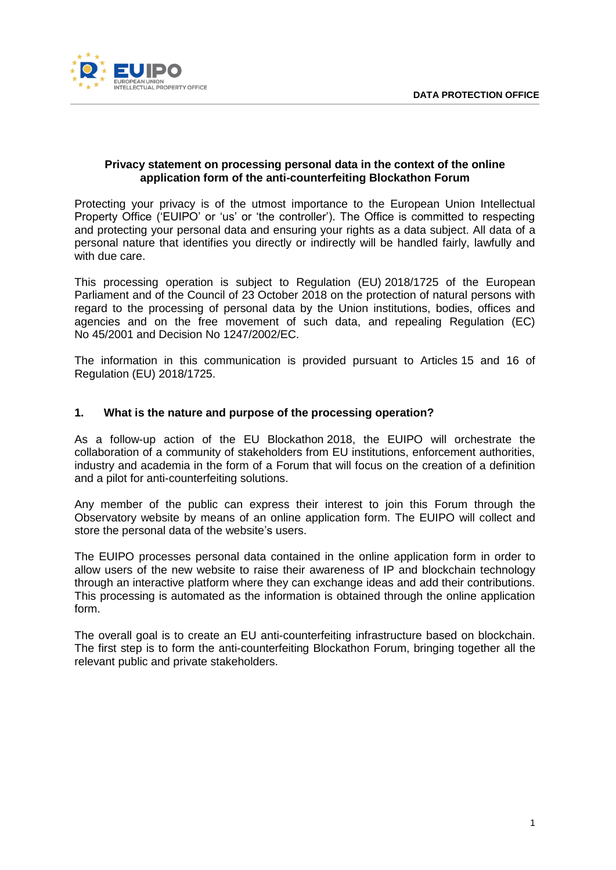

### **Privacy statement on processing personal data in the context of the online application form of the anti-counterfeiting Blockathon Forum**

Protecting your privacy is of the utmost importance to the European Union Intellectual Property Office ('EUIPO' or 'us' or 'the controller'). The Office is committed to respecting and protecting your personal data and ensuring your rights as a data subject. All data of a personal nature that identifies you directly or indirectly will be handled fairly, lawfully and with due care.

This processing operation is subject to Regulation (EU) 2018/1725 of the European Parliament and of the Council of 23 October 2018 on the protection of natural persons with regard to the processing of personal data by the Union institutions, bodies, offices and agencies and on the free movement of such data, and repealing Regulation (EC) No 45/2001 and Decision No 1247/2002/EC.

The information in this communication is provided pursuant to Articles 15 and 16 of Regulation (EU) 2018/1725.

# **1. What is the nature and purpose of the processing operation?**

As a follow-up action of the EU Blockathon 2018, the EUIPO will orchestrate the collaboration of a community of stakeholders from EU institutions, enforcement authorities, industry and academia in the form of a Forum that will focus on the creation of a definition and a pilot for anti-counterfeiting solutions.

Any member of the public can express their interest to join this Forum through the Observatory website by means of an online application form. The EUIPO will collect and store the personal data of the website's users.

The EUIPO processes personal data contained in the online application form in order to allow users of the new website to raise their awareness of IP and blockchain technology through an interactive platform where they can exchange ideas and add their contributions. This processing is automated as the information is obtained through the online application form.

The overall goal is to create an EU anti-counterfeiting infrastructure based on blockchain. The first step is to form the anti-counterfeiting Blockathon Forum, bringing together all the relevant public and private stakeholders.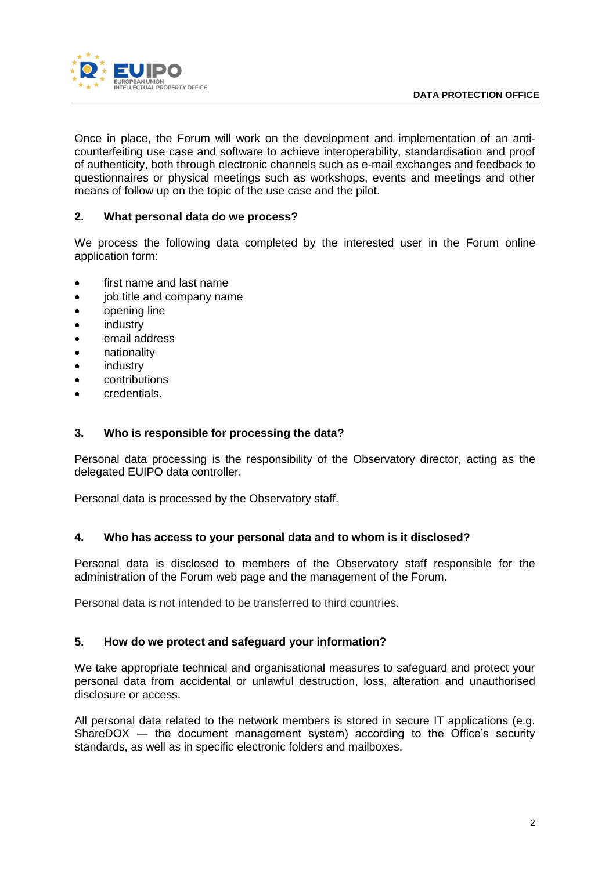

Once in place, the Forum will work on the development and implementation of an anticounterfeiting use case and software to achieve interoperability, standardisation and proof of authenticity, both through electronic channels such as e-mail exchanges and feedback to questionnaires or physical meetings such as workshops, events and meetings and other means of follow up on the topic of the use case and the pilot.

# **2. What personal data do we process?**

We process the following data completed by the interested user in the Forum online application form:

- first name and last name
- job title and company name
- opening line
- industry
- email address
- nationality
- industry
- contributions
- credentials.

### **3. Who is responsible for processing the data?**

Personal data processing is the responsibility of the Observatory director, acting as the delegated EUIPO data controller.

Personal data is processed by the Observatory staff.

### **4. Who has access to your personal data and to whom is it disclosed?**

Personal data is disclosed to members of the Observatory staff responsible for the administration of the Forum web page and the management of the Forum.

Personal data is not intended to be transferred to third countries.

#### **5. How do we protect and safeguard your information?**

We take appropriate technical and organisational measures to safeguard and protect your personal data from accidental or unlawful destruction, loss, alteration and unauthorised disclosure or access.

All personal data related to the network members is stored in secure IT applications (e.g. ShareDOX ― the document management system) according to the Office's security standards, as well as in specific electronic folders and mailboxes.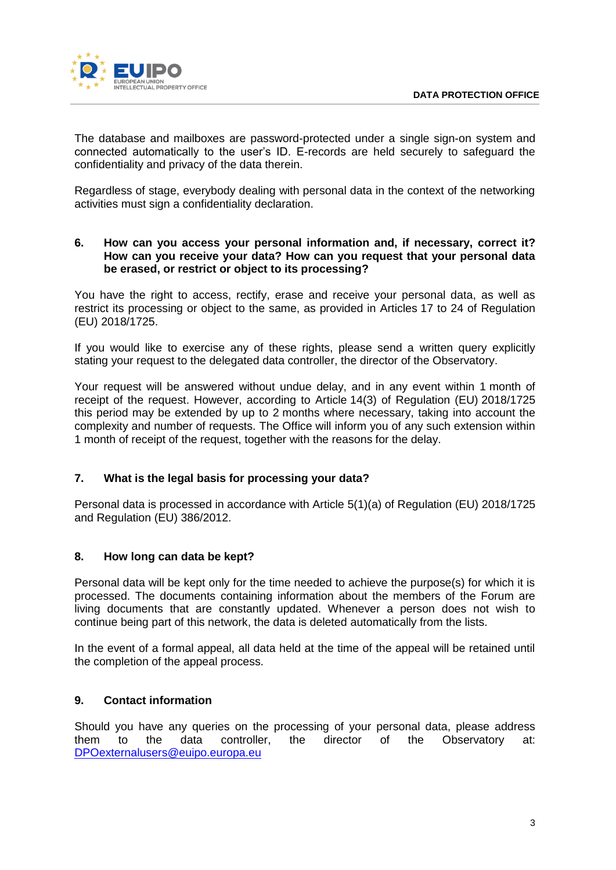

The database and mailboxes are password-protected under a single sign-on system and connected automatically to the user's ID. E-records are held securely to safeguard the confidentiality and privacy of the data therein.

Regardless of stage, everybody dealing with personal data in the context of the networking activities must sign a confidentiality declaration.

### **6. How can you access your personal information and, if necessary, correct it? How can you receive your data? How can you request that your personal data be erased, or restrict or object to its processing?**

You have the right to access, rectify, erase and receive your personal data, as well as restrict its processing or object to the same, as provided in Articles 17 to 24 of Regulation (EU) 2018/1725.

If you would like to exercise any of these rights, please send a written query explicitly stating your request to the delegated data controller, the director of the Observatory.

Your request will be answered without undue delay, and in any event within 1 month of receipt of the request. However, according to Article 14(3) of Regulation (EU) 2018/1725 this period may be extended by up to 2 months where necessary, taking into account the complexity and number of requests. The Office will inform you of any such extension within 1 month of receipt of the request, together with the reasons for the delay.

# **7. What is the legal basis for processing your data?**

Personal data is processed in accordance with Article 5(1)(a) of Regulation (EU) 2018/1725 and Regulation (EU) 386/2012.

# **8. How long can data be kept?**

Personal data will be kept only for the time needed to achieve the purpose(s) for which it is processed. The documents containing information about the members of the Forum are living documents that are constantly updated. Whenever a person does not wish to continue being part of this network, the data is deleted automatically from the lists.

In the event of a formal appeal, all data held at the time of the appeal will be retained until the completion of the appeal process.

# **9. Contact information**

Should you have any queries on the processing of your personal data, please address them to the data controller, the director of the Observatory at: [DPOexternalusers@euipo.europa.eu](mailto:DPOexternalusers@euipo.europa.eu)